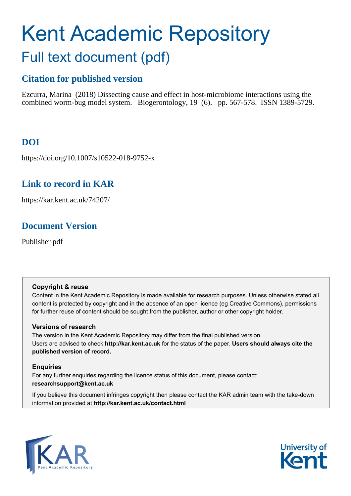# Kent Academic Repository Full text document (pdf)

# **Citation for published version**

Ezcurra, Marina (2018) Dissecting cause and effect in host-microbiome interactions using the combined worm-bug model system. Biogerontology, 19 (6). pp. 567-578. ISSN 1389-5729.

# **DOI**

https://doi.org/10.1007/s10522-018-9752-x

# **Link to record in KAR**

https://kar.kent.ac.uk/74207/

# **Document Version**

Publisher pdf

## **Copyright & reuse**

Content in the Kent Academic Repository is made available for research purposes. Unless otherwise stated all content is protected by copyright and in the absence of an open licence (eg Creative Commons), permissions for further reuse of content should be sought from the publisher, author or other copyright holder.

## **Versions of research**

The version in the Kent Academic Repository may differ from the final published version. Users are advised to check **http://kar.kent.ac.uk** for the status of the paper. **Users should always cite the published version of record.**

## **Enquiries**

For any further enquiries regarding the licence status of this document, please contact: **researchsupport@kent.ac.uk**

If you believe this document infringes copyright then please contact the KAR admin team with the take-down information provided at **http://kar.kent.ac.uk/contact.html**



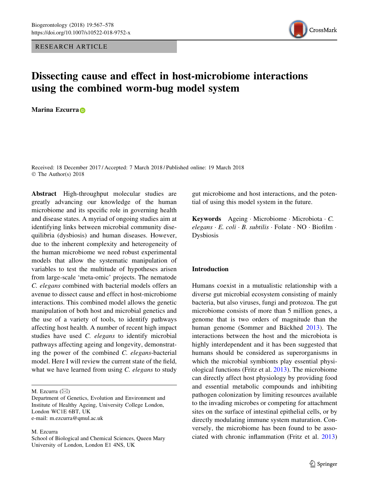RESEARCH ARTICLE



## Dissecting cause and effect in host-microbiome interactions using the combined worm-bug model system

M[a](http://orcid.org/0000-0003-2739-6984)rina Ezcurra<sub>D</sub>

Received: 18 December 2017 / Accepted: 7 March 2018 / Published online: 19 March 2018 © The Author(s) 2018

Abstract High-throughput molecular studies are greatly advancing our knowledge of the human microbiome and its specific role in governing health and disease states. A myriad of ongoing studies aim at identifying links between microbial community disequilibria (dysbiosis) and human diseases. However, due to the inherent complexity and heterogeneity of the human microbiome we need robust experimental models that allow the systematic manipulation of variables to test the multitude of hypotheses arisen from large-scale 'meta-omic' projects. The nematode C. elegans combined with bacterial models offers an avenue to dissect cause and effect in host-microbiome interactions. This combined model allows the genetic manipulation of both host and microbial genetics and the use of a variety of tools, to identify pathways affecting host health. A number of recent high impact studies have used C. elegans to identify microbial pathways affecting ageing and longevity, demonstrating the power of the combined C. elegans-bacterial model. Here I will review the current state of the field, what we have learned from using C. elegans to study

#### M. Ezcurra

gut microbiome and host interactions, and the potential of using this model system in the future.

Keywords Ageing - Microbiome - Microbiota - C.  $elegans \cdot E. coli \cdot B. subtilis \cdot Folate \cdot NO \cdot Biofilm \cdot$ Dysbiosis

#### Introduction

Humans coexist in a mutualistic relationship with a diverse gut microbial ecosystem consisting of mainly bacteria, but also viruses, fungi and protozoa. The gut microbiome consists of more than 5 million genes, a genome that is two orders of magnitude than the human genome (Sommer and Bäckhed 2013). The interactions between the host and the microbiota is highly interdependent and it has been suggested that humans should be considered as superorganisms in which the microbial symbionts play essential physiological functions (Fritz et al. 2013). The microbiome can directly affect host physiology by providing food and essential metabolic compounds and inhibiting pathogen colonization by limiting resources available to the invading microbes or competing for attachment sites on the surface of intestinal epithelial cells, or by directly modulating immune system maturation. Conversely, the microbiome has been found to be associated with chronic inflammation (Fritz et al. 2013)

M. Ezcurra  $(\boxtimes)$ 

Department of Genetics, Evolution and Environment and Institute of Healthy Ageing, University College London, London WC1E 6BT, UK e-mail: m.ezcurra@qmul.ac.uk

School of Biological and Chemical Sciences, Queen Mary University of London, London E1 4NS, UK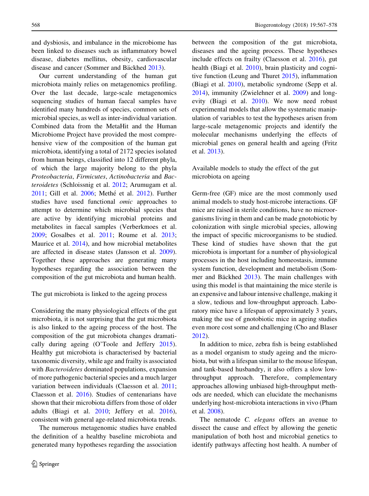and dysbiosis, and imbalance in the microbiome has been linked to diseases such as inflammatory bowel disease, diabetes mellitus, obesity, cardiovascular disease and cancer (Sommer and Bäckhed 2013).

Our current understanding of the human gut microbiota mainly relies on metagenomics profiling. Over the last decade, large-scale metagenomics sequencing studies of human faecal samples have identified many hundreds of species, common sets of microbial species, as well as inter-individual variation. Combined data from the MetaHit and the Human Microbiome Project have provided the most comprehensive view of the composition of the human gut microbiota, identifying a total of 2172 species isolated from human beings, classified into 12 different phyla, of which the large majority belong to the phyla Proteobacteria, Firmicutes, Actinobacteria and Bacteroidetes (Schloissnig et al. 2012; Arumugam et al. 2011; Gill et al. 2006; Methé et al. 2012). Further studies have used functional omic approaches to attempt to determine which microbial species that are active by identifying microbial proteins and metabolites in faecal samples (Verberkmoes et al. 2009; Gosalbes et al. 2011; Roume et al. 2013; Maurice et al. 2014), and how microbial metabolites are affected in disease states (Jansson et al. 2009). Together these approaches are generating many hypotheses regarding the association between the composition of the gut microbiota and human health.

The gut microbiota is linked to the ageing process

Considering the many physiological effects of the gut microbiota, it is not surprising that the gut microbiota is also linked to the ageing process of the host. The composition of the gut microbiota changes dramatically during ageing (O'Toole and Jeffery 2015). Healthy gut microbiota is characterised by bacterial taxonomic diversity, while age and frailty is associated with *Bacteroidetes* dominated populations, expansion of more pathogenic bacterial species and a much larger variation between individuals (Claesson et al. 2011; Claesson et al. 2016). Studies of centenarians have shown that their microbiota differs from those of older adults (Biagi et al. 2010; Jeffery et al. 2016), consistent with general age-related microbiota trends.

The numerous metagenomic studies have enabled the definition of a healthy baseline microbiota and generated many hypotheses regarding the association between the composition of the gut microbiota, diseases and the ageing process. These hypotheses include effects on frailty (Claesson et al. 2016), gut health (Biagi et al. 2010), brain plasticity and cognitive function (Leung and Thuret 2015), inflammation (Biagi et al. 2010), metabolic syndrome (Sepp et al. 2014), immunity (Zwielehner et al. 2009) and longevity (Biagi et al. 2010). We now need robust experimental models that allow the systematic manipulation of variables to test the hypotheses arisen from large-scale metagenomic projects and identify the molecular mechanisms underlying the effects of microbial genes on general health and ageing (Fritz et al. 2013).

Available models to study the effect of the gut microbiota on ageing

Germ-free (GF) mice are the most commonly used animal models to study host-microbe interactions. GF mice are raised in sterile conditions, have no microorganisms living in them and can be made gnotobiotic by colonization with single microbial species, allowing the impact of specific microorganisms to be studied. These kind of studies have shown that the gut microbiota is important for a number of physiological processes in the host including homeostasis, immune system function, development and metabolism (Sommer and Bäckhed  $2013$ ). The main challenges with using this model is that maintaining the mice sterile is an expensive and labour intensive challenge, making it a slow, tedious and low-throughput approach. Laboratory mice have a lifespan of approximately 3 years, making the use of gnotobiotic mice in ageing studies even more cost some and challenging (Cho and Blaser 2012).

In addition to mice, zebra fish is being established as a model organism to study ageing and the microbiota, but with a lifespan similar to the mouse lifespan, and tank-based husbandry, it also offers a slow lowthroughput approach. Therefore, complementary approaches allowing unbiased high-throughput methods are needed, which can elucidate the mechanisms underlying host-microbiota interactions in vivo (Pham et al. 2008).

The nematode C. elegans offers an avenue to dissect the cause and effect by allowing the genetic manipulation of both host and microbial genetics to identify pathways affecting host health. A number of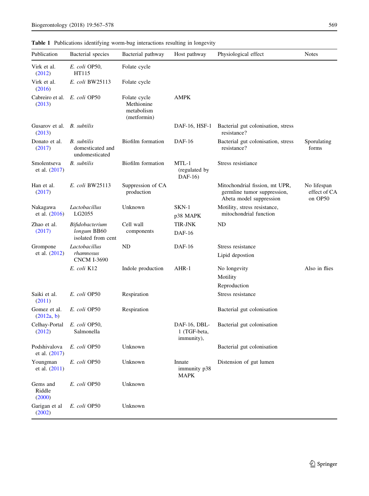#### Table 1 Publications identifying worm-bug interactions resulting in longevity

| Publication                   | Bacterial species                                        | Bacterial pathway                                       | Host pathway                               | Physiological effect                                                                     | <b>Notes</b>                           |
|-------------------------------|----------------------------------------------------------|---------------------------------------------------------|--------------------------------------------|------------------------------------------------------------------------------------------|----------------------------------------|
| Virk et al.<br>(2012)         | E. coli OP50,<br>HT115                                   | Folate cycle                                            |                                            |                                                                                          |                                        |
| Virk et al.<br>(2016)         | E. coli BW25113                                          | Folate cycle                                            |                                            |                                                                                          |                                        |
| Cabreiro et al.<br>(2013)     | E. coli OP50                                             | Folate cycle<br>Methionine<br>metabolism<br>(metformin) | AMPK                                       |                                                                                          |                                        |
| Gusarov et al.<br>(2013)      | B. subtilis                                              |                                                         | DAF-16, HSF-1                              | Bacterial gut colonisation, stress<br>resistance?                                        |                                        |
| Donato et al.<br>(2017)       | <b>B.</b> subtilis<br>domesticated and<br>undomesticated | Biofilm formation                                       | DAF-16                                     | Bacterial gut colonisation, stress<br>resistance?                                        | Sporulating<br>forms                   |
| Smolentseva<br>et al. (2017)  | <b>B.</b> subtilis                                       | Biofilm formation                                       | $MTL-1$<br>(regulated by<br>$DAF-16$       | Stress resistiance                                                                       |                                        |
| Han et al.<br>(2017)          | E. coli BW25113                                          | Suppression of CA<br>production                         |                                            | Mitochondrial fission, mt UPR,<br>germline tumor suppression,<br>Abeta model suppression | No lifespan<br>effect of CA<br>on OP50 |
| Nakagawa<br>et al. $(2016)$   | Lactobacillus<br>LG2055                                  | Unknown                                                 | $SKN-1$<br>p38 MAPK                        | Motility, stress resistance,<br>mitochondrial function                                   |                                        |
| Zhao et al.<br>(2017)         | Bifidobacterium<br>longum BB60<br>isolated from cent     | Cell wall<br>components                                 | TIR-JNK<br><b>DAF-16</b>                   | ND                                                                                       |                                        |
| Grompone<br>et al. (2012)     | Lactobacillus<br>rhamnosus<br><b>CNCM I-3690</b>         | ND                                                      | DAF-16                                     | Stress resistance<br>Lipid depostion                                                     |                                        |
|                               | E. coli K12                                              | Indole production                                       | AHR-1                                      | No longevity<br>Motility                                                                 | Also in flies                          |
| Saiki et al.                  | E. coli OP50                                             | Respiration                                             |                                            | Reproduction<br>Stress resistance                                                        |                                        |
| (2011)                        |                                                          |                                                         |                                            |                                                                                          |                                        |
| Gomez et al.<br>(2012a, b)    | E. coli OP50                                             | Respiration                                             |                                            | Bacterial gut colonisation                                                               |                                        |
| Celhay-Portal<br>(2012)       | E. coli OP50,<br>Salmonella                              |                                                         | DAF-16, DBL-<br>1 (TGF-beta,<br>immunity), | Bacterial gut colonisation                                                               |                                        |
| Podshivalova<br>et al. (2017) | E. coli OP50                                             | Unknown                                                 |                                            | Bacterial gut colonisation                                                               |                                        |
| Youngman<br>et al. (2011)     | E. coli OP50                                             | Unknown                                                 | Innate<br>immunity p38<br><b>MAPK</b>      | Distension of gut lumen                                                                  |                                        |
| Gems and<br>Riddle<br>(2000)  | E. coli OP50                                             | Unknown                                                 |                                            |                                                                                          |                                        |
| Garigan et al<br>(2002)       | E. coli OP50                                             | Unknown                                                 |                                            |                                                                                          |                                        |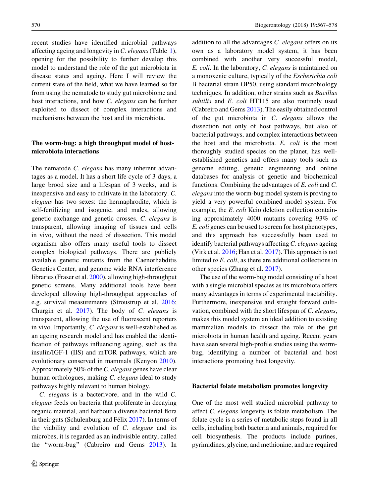recent studies have identified microbial pathways affecting ageing and longevity in C. elegans(Table 1), opening for the possibility to further develop this model to understand the role of the gut microbiota in disease states and ageing. Here I will review the current state of the field, what we have learned so far from using the nematode to study gut microbiome and host interactions, and how C. elegans can be further exploited to dissect of complex interactions and mechanisms between the host and its microbiota.

#### The worm-bug: a high throughput model of hostmicrobiota interactions

The nematode C. elegans has many inherent advantages as a model. It has a short life cycle of 3 days, a large brood size and a lifespan of 3 weeks, and is inexpensive and easy to cultivate in the laboratory. C. elegans has two sexes: the hermaphrodite, which is self-fertilizing and isogenic, and males, allowing genetic exchange and genetic crosses. C. elegans is transparent, allowing imaging of tissues and cells in vivo, without the need of dissection. This model organism also offers many useful tools to dissect complex biological pathways. There are publicly available genetic mutants from the Caenorhabditis Genetics Center, and genome wide RNA interference libraries (Fraser et al. 2000), allowing high-throughput genetic screens. Many additional tools have been developed allowing high-throughput approaches of e.g. survival measurements (Stroustrup et al. 2016; Churgin et al. 2017). The body of C. elegans is transparent, allowing the use of fluorescent reporters in vivo. Importantly, C. elegans is well-established as an ageing research model and has enabled the identification of pathways influencing ageing, such as the insulin/IGF-1 (IIS) and mTOR pathways, which are evolutionary conserved in mammals (Kenyon 2010). Approximately 50% of the C. elegans genes have clear human orthologues, making C. elegans ideal to study pathways highly relevant to human biology.

C. elegans is a bacterivore, and in the wild C. elegans feeds on bacteria that proliferate in decaying organic material, and harbour a diverse bacterial flora in their guts (Schulenburg and Fé $\lim_{n \to \infty} 2017$ ). In terms of the viability and evolution of C. elegans and its microbes, it is regarded as an indivisible entity, called the ''worm-bug'' (Cabreiro and Gems 2013). In

addition to all the advantages C. elegans offers on its own as a laboratory model system, it has been combined with another very successful model, E. coli. In the laboratory, C. elegans is maintained on a monoxenic culture, typically of the Escherichia coli B bacterial strain OP50, using standard microbiology techniques. In addition, other strains such as Bacillus subtilis and E. coli HT115 are also routinely used (Cabreiro and Gems 2013). The easily obtained control of the gut microbiota in C. elegans allows the dissection not only of host pathways, but also of bacterial pathways, and complex interactions between the host and the microbiota. E. coli is the most thoroughly studied species on the planet, has wellestablished genetics and offers many tools such as genome editing, genetic engineering and online databases for analysis of genetic and biochemical functions. Combining the advantages of E. coli and C. elegans into the worm-bug model system is proving to yield a very powerful combined model system. For example, the *E. coli* Keio deletion collection containing approximately 4000 mutants covering 93% of E. coli genes can be used to screen for host phenotypes, and this approach has successfully been used to identify bacterial pathways affecting C. elegans ageing (Virk et al. 2016; Han et al. 2017). This approach is not limited to E. coli, as there are additional collections in other species (Zhang et al. 2017).

The use of the worm-bug model consisting of a host with a single microbial species as its microbiota offers many advantages in terms of experimental tractability. Furthermore, inexpensive and straight forward cultivation, combined with the short lifespan of C. elegans, makes this model system an ideal addition to existing mammalian models to dissect the role of the gut microbiota in human health and ageing. Recent years have seen several high-profile studies using the wormbug, identifying a number of bacterial and host interactions promoting host longevity.

#### Bacterial folate metabolism promotes longevity

One of the most well studied microbial pathway to affect C. elegans longevity is folate metabolism. The folate cycle is a series of metabolic steps found in all cells, including both bacteria and animals, required for cell biosynthesis. The products include purines, pyrimidines, glycine, and methionine, and are required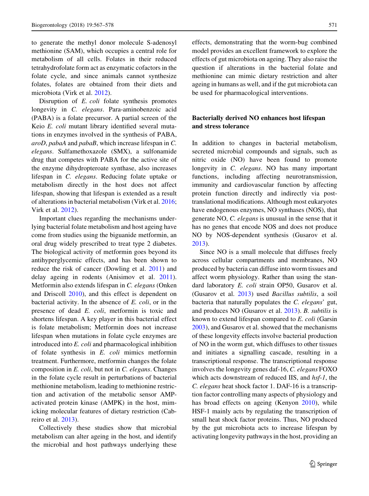to generate the methyl donor molecule S-adenosyl methionine (SAM), which occupies a central role for metabolism of all cells. Folates in their reduced tetrahydrofolate form act as enzymatic cofactors in the folate cycle, and since animals cannot synthesize folates, folates are obtained from their diets and microbiota (Virk et al. 2012).

Disruption of E. coli folate synthesis promotes longevity in C. elegans. Para-aminobenzoic acid (PABA) is a folate precursor. A partial screen of the Keio E. coli mutant library identified several mutations in enzymes involved in the synthesis of PABA, aroD, pabaA and pabaB, which increase lifespan in C. elegans. Sulfamethoxazole (SMX), a sulfonamide drug that competes with PABA for the active site of the enzyme dihydropteroate synthase, also increases lifespan in C. elegans. Reducing folate uptake or metabolism directly in the host does not affect lifespan, showing that lifespan is extended as a result of alterations in bacterial metabolism (Virk et al. 2016; Virk et al. 2012).

Important clues regarding the mechanisms underlying bacterial folate metabolism and host ageing have come from studies using the biguanide metformin, an oral drug widely prescribed to treat type 2 diabetes. The biological activity of metformin goes beyond its antihyperglycemic effects, and has been shown to reduce the risk of cancer (Dowling et al. 2011) and delay ageing in rodents (Anisimov et al. 2011). Metformin also extends lifespan in C. elegans (Onken and Driscoll 2010), and this effect is dependent on bacterial activity. In the absence of  $E$ . *coli*, or in the presence of dead E. coli, metformin is toxic and shortens lifespan. A key player in this bacterial effect is folate metabolism; Metformin does not increase lifespan when mutations in folate cycle enzymes are introduced into E. coli and pharmacological inhibition of folate synthesis in E. coli mimics metformin treatment. Furthermore, metformin changes the folate composition in E. coli, but not in C. elegans. Changes in the folate cycle result in perturbations of bacterial methionine metabolism, leading to methionine restriction and activation of the metabolic sensor AMPactivated protein kinase (AMPK) in the host, mimicking molecular features of dietary restriction (Cabreiro et al. 2013).

Collectively these studies show that microbial metabolism can alter ageing in the host, and identify the microbial and host pathways underlying these effects, demonstrating that the worm-bug combined model provides an excellent framework to explore the

effects of gut microbiota on ageing. They also raise the question if alterations in the bacterial folate and methionine can mimic dietary restriction and alter ageing in humans as well, and if the gut microbiota can be used for pharmacological interventions.

#### Bacterially derived NO enhances host lifespan and stress tolerance

In addition to changes in bacterial metabolism, secreted microbial compounds and signals, such as nitric oxide (NO) have been found to promote longevity in C. elegans. NO has many important functions, including affecting neurotransmission, immunity and cardiovascular function by affecting protein function directly and indirectly via posttranslational modifications. Although most eukaryotes have endogenous enzymes, NO synthases (NOS), that generate NO, C. elegans is unusual in the sense that it has no genes that encode NOS and does not produce NO by NOS-dependent synthesis (Gusarov et al. 2013).

Since NO is a small molecule that diffuses freely across cellular compartments and membranes, NO produced by bacteria can diffuse into worm tissues and affect worm physiology. Rather than using the standard laboratory E. coli strain OP50, Gusarov et al. (Gusarov et al. 2013) used Bacillus subtilis, a soil bacteria that naturally populates the C. elegans' gut, and produces NO (Gusarov et al. 2013). B. subtilis is known to extend lifespan compared to E. coli (Garsin 2003), and Gusarov et al. showed that the mechanisms of these longevity effects involve bacterial production of NO in the worm gut, which diffuses to other tissues and initiates a signalling cascade, resulting in a transcriptional response. The transcriptional response involves the longevity genes daf-16, C. elegans FOXO which acts downstream of reduced IIS, and hsf-1, the C. elegans heat shock factor 1. DAF-16 is a transcription factor controlling many aspects of physiology and has broad effects on ageing (Kenyon 2010), while HSF-1 mainly acts by regulating the transcription of small heat shock factor proteins. Thus, NO produced by the gut microbiota acts to increase lifespan by activating longevity pathways in the host, providing an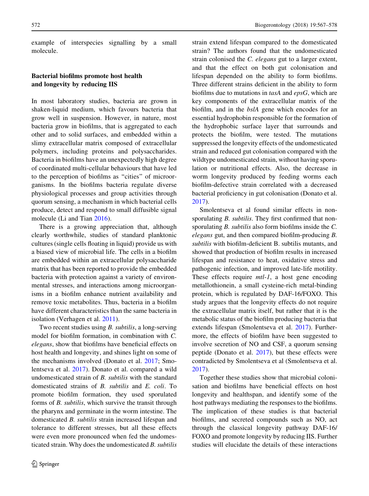example of interspecies signalling by a small molecule.

#### Bacterial biofilms promote host health and longevity by reducing IIS

In most laboratory studies, bacteria are grown in shaken-liquid medium, which favours bacteria that grow well in suspension. However, in nature, most bacteria grow in biofilms, that is aggregated to each other and to solid surfaces, and embedded within a slimy extracellular matrix composed of extracellular polymers, including proteins and polysaccharides. Bacteria in biofilms have an unexpectedly high degree of coordinated multi-cellular behaviours that have led to the perception of biofilms as ''cities'' of microorganisms. In the biofilms bacteria regulate diverse physiological processes and group activities through quorum sensing, a mechanism in which bacterial cells produce, detect and respond to small diffusible signal molecule (Li and Tian 2016).

There is a growing appreciation that, although clearly worthwhile, studies of standard planktonic cultures (single cells floating in liquid) provide us with a biased view of microbial life. The cells in a biofilm are embedded within an extracellular polysaccharide matrix that has been reported to provide the embedded bacteria with protection against a variety of environmental stresses, and interactions among microorganisms in a biofilm enhance nutrient availability and remove toxic metabolites. Thus, bacteria in a biofilm have different characteristics than the same bacteria in isolation (Verhagen et al. 2011).

Two recent studies using B. subtilis, a long-serving model for biofilm formation, in combination with C. elegans, show that biofilms have beneficial effects on host health and longevity, and shines light on some of the mechanisms involved (Donato et al. 2017; Smolentseva et al. 2017). Donato et al. compared a wild undomesticated strain of B. subtilis with the standard domesticated strains of B. subtilis and E. coli. To promote biofilm formation, they used sporulated forms of B. subtilis, which survive the transit through the pharynx and germinate in the worm intestine. The domesticated B. subtilis strain increased lifespan and tolerance to different stresses, but all these effects were even more pronounced when fed the undomesticated strain. Why does the undomesticated B. subtilis

strain extend lifespan compared to the domesticated strain? The authors found that the undomesticated strain colonised the C. elegans gut to a larger extent, and that the effect on both gut colonisation and lifespan depended on the ability to form biofilms. Three different strains deficient in the ability to form biofilms due to mutations in tasA and epsG, which are key components of the extracellular matrix of the biofilm, and in the bslA gene which encodes for an essential hydrophobin responsible for the formation of the hydrophobic surface layer that surrounds and protects the biofilm, were tested. The mutations suppressed the longevity effects of the undomesticated strain and reduced gut colonisation compared with the wildtype undomesticated strain, without having sporulation or nutritional effects. Also, the decrease in worm longevity produced by feeding worms each biofilm-defective strain correlated with a decreased bacterial proficiency in gut colonisation (Donato et al. 2017).

Smolentseva et al found similar effects in nonsporulating *B. subtilis*. They first confirmed that nonsporulating B. subtilis also form biofilms inside the C. elegans gut, and then compared biofilm-producing B. subtilis with biofilm-deficient B. subtilis mutants, and showed that production of biofilm results in increased lifespan and resistance to heat, oxidative stress and pathogenic infection, and improved late-life motility. These effects require *mtl-1*, a host gene encoding metallothionein, a small cysteine-rich metal-binding protein, which is regulated by DAF-16/FOXO. This study argues that the longevity effects do not require the extracellular matrix itself, but rather that it is the metabolic status of the biofilm producing bacteria that extends lifespan (Smolentseva et al. 2017). Furthermore, the effects of biofilm have been suggested to involve secretion of NO and CSF, a quorum sensing peptide (Donato et al. 2017), but these effects were contradicted by Smolentseva et al (Smolentseva et al. 2017).

Together these studies show that microbial colonisation and biofilms have beneficial effects on host longevity and healthspan, and identify some of the host pathways mediating the responses to the biofilms. The implication of these studies is that bacterial biofilms, and secreted compounds such as NO, act through the classical longevity pathway DAF-16/ FOXO and promote longevity by reducing IIS. Further studies will elucidate the details of these interactions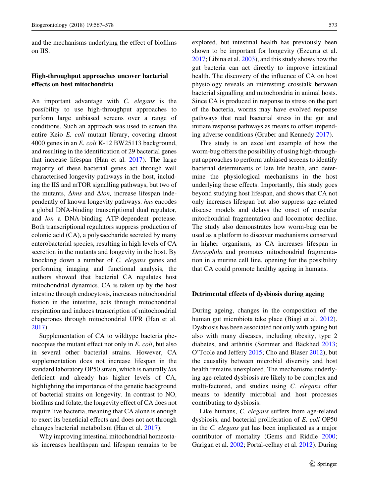and the mechanisms underlying the effect of biofilms on IIS.

#### High-throughput approaches uncover bacterial effects on host mitochondria

An important advantage with C. elegans is the possibility to use high-throughput approaches to perform large unbiased screens over a range of conditions. Such an approach was used to screen the entire Keio E. coli mutant library, covering almost 4000 genes in an E. coli K-12 BW25113 background, and resulting in the identification of 29 bacterial genes that increase lifespan (Han et al. 2017). The large majority of these bacterial genes act through well characterised longevity pathways in the host, including the IIS and mTOR signalling pathways, but two of the mutants,  $\Delta h$ ns and  $\Delta l$ on, increase lifespan independently of known longevity pathways. hns encodes a global DNA-binding transcriptional dual regulator, and lon a DNA-binding ATP-dependent protease. Both transcriptional regulators suppress production of colonic acid (CA), a polysaccharide secreted by many enterobacterial species, resulting in high levels of CA secretion in the mutants and longevity in the host. By knocking down a number of C. elegans genes and performing imaging and functional analysis, the authors showed that bacterial CA regulates host mitochondrial dynamics. CA is taken up by the host intestine through endocytosis, increases mitochondrial fission in the intestine, acts through mitochondrial respiration and induces transcription of mitochondrial chaperones through mitochondrial UPR (Han et al. 2017).

Supplementation of CA to wildtype bacteria phenocopies the mutant effect not only in E. coli, but also in several other bacterial strains. However, CA supplementation does not increase lifespan in the standard laboratory OP50 strain, which is naturally lon deficient and already has higher levels of CA, highlighting the importance of the genetic background of bacterial strains on longevity. In contrast to NO, biofilms and folate, the longevity effect of CA does not require live bacteria, meaning that CA alone is enough to exert its beneficial effects and does not act through changes bacterial metabolism (Han et al. 2017).

Why improving intestinal mitochondrial homeostasis increases healthspan and lifespan remains to be explored, but intestinal health has previously been shown to be important for longevity (Ezcurra et al. 2017; Libina et al. 2003), and this study shows how the gut bacteria can act directly to improve intestinal health. The discovery of the influence of CA on host physiology reveals an interesting crosstalk between bacterial signalling and mitochondria in animal hosts. Since CA is produced in response to stress on the part of the bacteria, worms may have evolved response pathways that read bacterial stress in the gut and initiate response pathways as means to offset impending adverse conditions (Gruber and Kennedy 2017).

This study is an excellent example of how the worm-bug offers the possibility of using high-throughput approaches to perform unbiased screens to identify bacterial determinants of late life health, and determine the physiological mechanisms in the host underlying these effects. Importantly, this study goes beyond studying host lifespan, and shows that CA not only increases lifespan but also suppress age-related disease models and delays the onset of muscular mitochondrial fragmentation and locomotor decline. The study also demonstrates how worm-bug can be used as a platform to discover mechanisms conserved in higher organisms, as CA increases lifespan in Drosophila and promotes mitochondrial fragmentation in a murine cell line, opening for the possibility that CA could promote healthy ageing in humans.

#### Detrimental effects of dysbiosis during ageing

During ageing, changes in the composition of the human gut microbiota take place (Biagi et al. 2012). Dysbiosis has been associated not only with ageing but also with many diseases, including obesity, type 2 diabetes, and arthritis (Sommer and Bäckhed 2013; O'Toole and Jeffery 2015; Cho and Blaser 2012), but the causality between microbial diversity and host health remains unexplored. The mechanisms underlying age-related dysbiosis are likely to be complex and multi-factored, and studies using C. elegans offer means to identify microbial and host processes contributing to dysbiosis.

Like humans, *C. elegans* suffers from age-related dysbiosis, and bacterial proliferation of E. coli OP50 in the C. elegans gut has been implicated as a major contributor of mortality (Gems and Riddle 2000; Garigan et al. 2002; Portal-celhay et al. 2012). During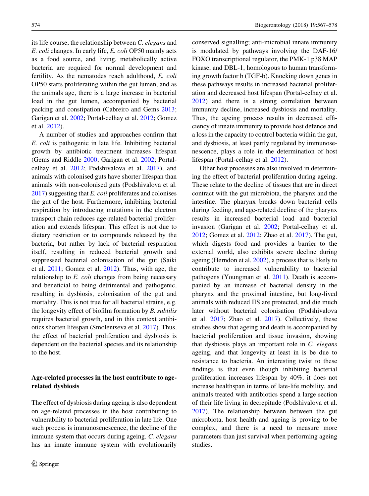its life course, the relationship between C. elegans and E. coli changes. In early life, E. coli OP50 mainly acts as a food source, and living, metabolically active bacteria are required for normal development and fertility. As the nematodes reach adulthood, E. coli OP50 starts proliferating within the gut lumen, and as the animals age, there is a large increase in bacterial load in the gut lumen, accompanied by bacterial packing and constipation (Cabreiro and Gems 2013; Garigan et al. 2002; Portal-celhay et al. 2012; Gomez et al. 2012).

A number of studies and approaches confirm that E. coli is pathogenic in late life. Inhibiting bacterial growth by antibiotic treatment increases lifespan (Gems and Riddle 2000; Garigan et al. 2002; Portalcelhay et al. 2012; Podshivalova et al. 2017), and animals with colonised guts have shorter lifespan than animals with non-colonised guts (Podshivalova et al.  $2017$ ) suggesting that E. coli proliferates and colonises the gut of the host. Furthermore, inhibiting bacterial respiration by introducing mutations in the electron transport chain reduces age-related bacterial proliferation and extends lifespan. This effect is not due to dietary restriction or to compounds released by the bacteria, but rather by lack of bacterial respiration itself, resulting in reduced bacterial growth and suppressed bacterial colonisation of the gut (Saiki et al. 2011; Gomez et al. 2012). Thus, with age, the relationship to E. coli changes from being necessary and beneficial to being detrimental and pathogenic, resulting in dysbiosis, colonisation of the gut and mortality. This is not true for all bacterial strains, e.g. the longevity effect of biofilm formation by B. subtilis requires bacterial growth, and in this context antibiotics shorten lifespan (Smolentseva et al. 2017). Thus, the effect of bacterial proliferation and dysbiosis is dependent on the bacterial species and its relationship to the host.

#### Age-related processes in the host contribute to agerelated dysbiosis

The effect of dysbiosis during ageing is also dependent on age-related processes in the host contributing to vulnerability to bacterial proliferation in late life. One such process is immunosenescence, the decline of the immune system that occurs during ageing. C. elegans has an innate immune system with evolutionarily conserved signalling; anti-microbial innate immunity is modulated by pathways involving the DAF-16/ FOXO transcriptional regulator, the PMK-1 p38 MAP kinase, and DBL-1, homologous to human transforming growth factor b (TGF-b). Knocking down genes in these pathways results in increased bacterial proliferation and decreased host lifespan (Portal-celhay et al. 2012) and there is a strong correlation between immunity decline, increased dysbiosis and mortality. Thus, the ageing process results in decreased efficiency of innate immunity to provide host defence and a loss in the capacity to control bacteria within the gut, and dysbiosis, at least partly regulated by immunosenescence, plays a role in the determination of host lifespan (Portal-celhay et al. 2012).

Other host processes are also involved in determining the effect of bacterial proliferation during ageing. These relate to the decline of tissues that are in direct contract with the gut microbiota, the pharynx and the intestine. The pharynx breaks down bacterial cells during feeding, and age-related decline of the pharynx results in increased bacterial load and bacterial invasion (Garigan et al. 2002; Portal-celhay et al. 2012; Gomez et al. 2012; Zhao et al. 2017). The gut, which digests food and provides a barrier to the external world, also exhibits severe decline during ageing (Herndon et al. 2002), a process that is likely to contribute to increased vulnerability to bacterial pathogens (Youngman et al. 2011). Death is accompanied by an increase of bacterial density in the pharynx and the proximal intestine, but long-lived animals with reduced IIS are protected, and die much later without bacterial colonisation (Podshivalova et al. 2017; Zhao et al. 2017). Collectively, these studies show that ageing and death is accompanied by bacterial proliferation and tissue invasion, showing that dysbiosis plays an important role in C. elegans ageing, and that longevity at least in is be due to resistance to bacteria. An interesting twist to these findings is that even though inhibiting bacterial proliferation increases lifespan by 40%, it does not increase healthspan in terms of late-life mobility, and animals treated with antibiotics spend a large section of their life living in decrepitude (Podshivalova et al. 2017). The relationship between between the gut microbiota, host health and ageing is proving to be complex, and there is a need to measure more parameters than just survival when performing ageing studies.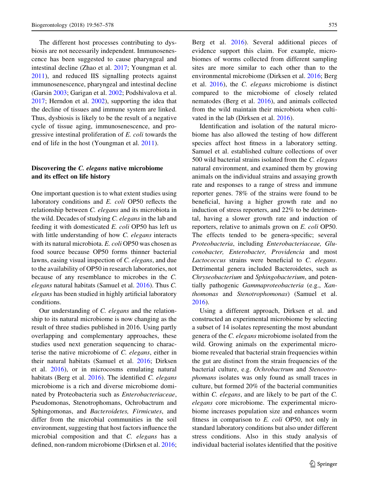The different host processes contributing to dysbiosis are not necessarily independent. Immunosenescence has been suggested to cause pharyngeal and intestinal decline (Zhao et al. 2017; Youngman et al. 2011), and reduced IIS signalling protects against immunosenescence, pharyngeal and intestinal decline (Garsin 2003; Garigan et al. 2002; Podshivalova et al. 2017; Herndon et al. 2002), supporting the idea that the decline of tissues and immune system are linked. Thus, dysbiosis is likely to be the result of a negative cycle of tissue aging, immunosenescence, and progressive intestinal proliferation of E. coli towards the end of life in the host (Youngman et al. 2011).

#### Discovering the *C. elegans* native microbiome and its effect on life history

One important question is to what extent studies using laboratory conditions and E. coli OP50 reflects the relationship between C. elegans and its microbiota in the wild. Decades of studying C. elegans in the lab and feeding it with domesticated E. coli OP50 has left us with little understanding of how C. elegans interacts with its natural microbiota. E. coli OP50 was chosen as food source because OP50 forms thinner bacterial lawns, easing visual inspection of C. elegans, and due to the availability of OP50 in research laboratories, not because of any resemblance to microbes in the C. elegans natural habitats (Samuel et al. 2016). Thus C. elegans has been studied in highly artificial laboratory conditions.

Our understanding of C. elegans and the relationship to its natural microbiome is now changing as the result of three studies published in 2016. Using partly overlapping and complementary approaches, these studies used next generation sequencing to characterise the native microbiome of C. elegans, either in their natural habitats (Samuel et al. 2016; Dirksen et al. 2016), or in microcosms emulating natural habitats (Berg et al. 2016). The identified C. elegans microbiome is a rich and diverse microbiome dominated by Proteobacteria such as Enterobacteriaceae, Pseudomonas, Stenotrophomans, Ochrobactrum and Sphingomonas, and Bacteroidetes, Firmicutes, and differ from the microbial communities in the soil environment, suggesting that host factors influence the microbial composition and that C. elegans has a defined, non-random microbiome (Dirksen et al. 2016;

Berg et al. 2016). Several additional pieces of evidence support this claim. For example, microbiomes of worms collected from different sampling sites are more similar to each other than to the environmental microbiome (Dirksen et al. 2016; Berg et al. 2016), the C. elegans microbiome is distinct compared to the microbiome of closely related nematodes (Berg et al. 2016), and animals collected from the wild maintain their microbiota when cultivated in the lab (Dirksen et al. 2016).

Identification and isolation of the natural microbiome has also allowed the testing of how different species affect host fitness in a laboratory setting. Samuel et al. established culture collections of over 500 wild bacterial strains isolated from the C. elegans natural environment, and examined them by growing animals on the individual strains and assaying growth rate and responses to a range of stress and immune reporter genes. 78% of the strains were found to be beneficial, having a higher growth rate and no induction of stress reporters, and 22% to be detrimental, having a slower growth rate and induction of reporters, relative to animals grown on E. coli OP50. The effects tended to be genera-specific; several Proteobacteria, including Enterobacteriaceae, Gluconobacter, Enterobacter, Providencia and most Lactococcus strains were beneficial to C. elegans. Detrimental genera included Bacteroidetes, such as Chryseobacterium and Sphingobacterium, and potentially pathogenic Gammaproteobacteria (e.g., Xanthomonas and Stenotrophomonas) (Samuel et al. 2016).

Using a different approach, Dirksen et al. and constructed an experimental microbiome by selecting a subset of 14 isolates representing the most abundant genera of the C. elegans microbiome isolated from the wild. Growing animals on the experimental microbiome revealed that bacterial strain frequencies within the gut are distinct from the strain frequencies of the bacterial culture, e.g. Ochrobactrum and Stenootrophomans isolates was only found as small traces in culture, but formed 20% of the bacterial communities within *C. elegans*, and are likely to be part of the *C*. elegans core microbiome. The experimental microbiome increases population size and enhances worm fitness in comparison to E. coli OP50, not only in standard laboratory conditions but also under different stress conditions. Also in this study analysis of individual bacterial isolates identified that the positive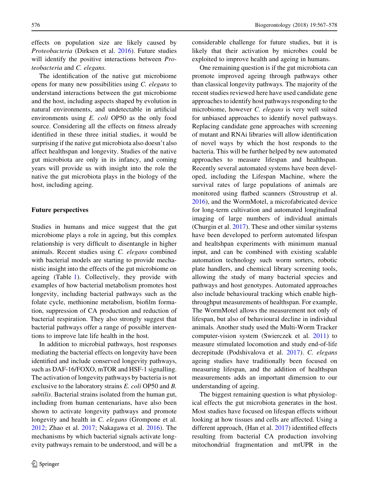effects on population size are likely caused by Proteobacteria (Dirksen et al. 2016). Future studies will identify the positive interactions between Proteobacteria and C. elegans.

The identification of the native gut microbiome opens for many new possibilities using C. elegans to understand interactions between the gut microbiome and the host, including aspects shaped by evolution in natural environments, and undetectable in artificial environments using E. coli OP50 as the only food source. Considering all the effects on fitness already identified in these three initial studies, it would be surprising if the native gut microbiota also doesn't also affect healthspan and longevity. Studies of the native gut microbiota are only in its infancy, and coming years will provide us with insight into the role the native the gut microbiota plays in the biology of the host, including ageing.

#### Future perspectives

Studies in humans and mice suggest that the gut microbiome plays a role in ageing, but this complex relationship is very difficult to disentangle in higher animals. Recent studies using C. elegans combined with bacterial models are starting to provide mechanistic insight into the effects of the gut microbiome on ageing (Table 1). Collectively, they provide with examples of how bacterial metabolism promotes host longevity, including bacterial pathways such as the folate cycle, methionine metabolism, biofilm formation, suppression of CA production and reduction of bacterial respiration. They also strongly suggest that bacterial pathways offer a range of possible interventions to improve late life health in the host.

In addition to microbial pathways, host responses mediating the bacterial effects on longevity have been identified and include conserved longevity pathways, such as DAF-16/FOXO, mTOR and HSF-1 signalling. The activation of longevity pathways by bacteria is not exclusive to the laboratory strains E. coli OP50 and B. subtilis. Bacterial strains isolated from the human gut, including from human centenarians, have also been shown to activate longevity pathways and promote longevity and health in C. elegans (Grompone et al. 2012; Zhao et al. 2017; Nakagawa et al. 2016). The mechanisms by which bacterial signals activate longevity pathways remain to be understood, and will be a considerable challenge for future studies, but it is likely that their activation by microbes could be exploited to improve health and ageing in humans.

One remaining question is if the gut microbiota can promote improved ageing through pathways other than classical longevity pathways. The majority of the recent studies reviewed here have used candidate gene approaches to identify host pathways responding to the microbiome, however C. elegans is very well suited for unbiased approaches to identify novel pathways. Replacing candidate gene approaches with screening of mutant and RNAi libraries will allow identification of novel ways by which the host responds to the bacteria. This will be further helped by new automated approaches to measure lifespan and healthspan. Recently several automated systems have been developed, including the Lifespan Machine, where the survival rates of large populations of animals are monitored using flatbed scanners (Stroustrup et al. 2016), and the WormMotel, a microfabricated device for long-term cultivation and automated longitudinal imaging of large numbers of individual animals (Churgin et al. 2017). These and other similar systems have been developed to perform automated lifespan and healtshpan experiments with minimum manual input, and can be combined with existing scalable automation technology such worm sorters, robotic plate handlers, and chemical library screening tools, allowing the study of many bacterial species and pathways and host genotypes. Automated approaches also include behavioural tracking which enable highthroughput measurements of healthspan. For example, The WormMotel allows the measurement not only of lifespan, but also of behavioural decline in individual animals. Another study used the Multi-Worm Tracker computer-vision system (Swierczek et al. 2011) to measure stimulated locomotion and study end-of-life decrepitude (Podshivalova et al. 2017). C. elegans ageing studies have traditionally been focused on measuring lifespan, and the addition of healthspan measurements adds an important dimension to our understanding of ageing.

The biggest remaining question is what physiological effects the gut microbiota generates in the host. Most studies have focused on lifespan effects without looking at how tissues and cells are affected. Using a different approach, (Han et al. 2017) identified effects resulting from bacterial CA production involving mitochondrial fragmentation and mtUPR in the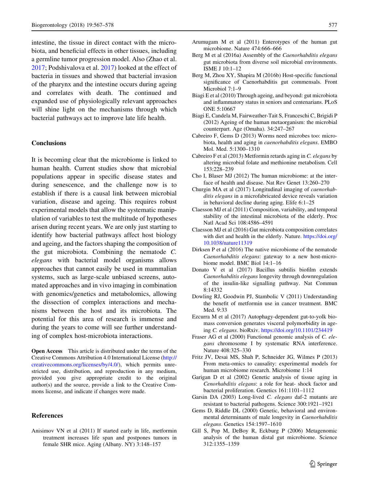intestine, the tissue in direct contact with the microbiota, and beneficial effects in other tissues, including a germline tumor progression model. Also (Zhao et al. 2017; Podshivalova et al. 2017) looked at the effect of bacteria in tissues and showed that bacterial invasion of the pharynx and the intestine occurs during ageing and correlates with death. The continued and expanded use of physiologically relevant approaches will shine light on the mechanisms through which bacterial pathways act to improve late life health.

#### **Conclusions**

It is becoming clear that the microbiome is linked to human health. Current studies show that microbial populations appear in specific disease states and during senescence, and the challenge now is to establish if there is a causal link between microbial variation, disease and ageing. This requires robust experimental models that allow the systematic manipulation of variables to test the multitude of hypotheses arisen during recent years. We are only just starting to identify how bacterial pathways affect host biology and ageing, and the factors shaping the composition of the gut microbiota. Combining the nematode C. elegans with bacterial model organisms allows approaches that cannot easily be used in mammalian systems, such as large-scale unbiased screens, automated approaches and in vivo imaging in combination with genomics/genetics and metabolomics, allowing the dissection of complex interactions and mechanisms between the host and its microbiota. The potential for this area of research is immense and during the years to come will see further understanding of complex host-microbiota interactions.

**Open Access** This article is distributed under the terms of the Creative Commons Attribution 4.0 International License ([http://](http://creativecommons.org/licenses/by/4.0/) [creativecommons.org/licenses/by/4.0/\)](http://creativecommons.org/licenses/by/4.0/), which permits unrestricted use, distribution, and reproduction in any medium, provided you give appropriate credit to the original author(s) and the source, provide a link to the Creative Commons license, and indicate if changes were made.

#### References

Anisimov VN et al (2011) If started early in life, metformin treatment increases life span and postpones tumors in female SHR mice. Aging (Albany. NY) 3:148–157

- Arumugam M et al (2011) Enterotypes of the human gut microbiome. Nature 474:666–666
- Berg M et al (2016a) Assembly of the Caenorhabditis elegans gut microbiota from diverse soil microbial environments. ISME J 10:1–12
- Berg M, Zhou XY, Shapira M (2016b) Host-specific functional significance of Caenorhabditis gut commensals. Front Microbiol 7:1–9
- Biagi E et al (2010) Through ageing, and beyond: gut microbiota and inflammatory status in seniors and centenarians. PLoS ONE 5:10667
- Biagi E, Candela M, Fairweather-Tait S, Franceschi C, Brigidi P (2012) Ageing of the human metaorganism: the microbial counterpart. Age (Omaha). 34:247–267
- Cabreiro F, Gems D (2013) Worms need microbes too: microbiota, health and aging in caenorhabditis elegans. EMBO Mol. Med. 5:1300–1310
- Cabreiro F et al (2013) Metformin retards aging in C. elegans by altering microbial folate and methionine metabolism. Cell 153:228–239
- Cho I, Blaser MJ (2012) The human microbiome: at the interface of health and disease. Nat Rev Genet 13:260–270
- Churgin MA et al (2017) Longitudinal imaging of caenorhabditis elegans in a microfabricated device reveals variation in behavioral decline during aging. Elife 6:1–25
- Claesson MJ et al (2011) Composition, variability, and temporal stability of the intestinal microbiota of the elderly. Proc Natl Acad Sci 108:4586–4591
- Claesson MJ et al (2016) Gut microbiota composition correlates with diet and health in the elderly. Nature. [https://doi.org/](https://doi.org/10.1038/nature11319) [10.1038/nature11319](https://doi.org/10.1038/nature11319)
- Dirksen P et al (2016) The native microbiome of the nematode Caenorhabditis elegans: gateway to a new host-microbiome model. BMC Biol 14:1–16
- Donato V et al (2017) Bacillus subtilis biofilm extends Caenorhabditis elegans longevity through downregulation of the insulin-like signalling pathway. Nat Commun 8:14332
- Dowling RJ, Goodwin PJ, Stambolic V (2011) Understanding the benefit of metformin use in cancer treatment. BMC Med. 9:33
- Ezcurra M et al (2017) Autophagy-dependent gut-to-yolk biomass conversion generates visceral polymorbidity in ageing C. elegans. bioRxiv. <https://doi.org/10.1101/234419>
- Fraser AG et al (2000) Functional genomic analysis of C. elegans chromosome I by systematic RNA interference. Nature 408:325–330
- Fritz JV, Desai MS, Shah P, Schneider JG, Wilmes P (2013) From meta-omics to causality: experimental models for human microbiome research. Microbiome 1:14
- Garigan D et al (2002) Genetic analysis of tissue aging in Cenorhabditis elegans: a role for heat- shock factor and bacterial proliferation. Genetics 161:1101–1112
- Garsin DA (2003) Long-lived C. elegans daf-2 mutants are resistant to bacterial pathogens. Science 300:1921–1921
- Gems D, Riddle DL (2000) Genetic, behavioral and environmental determinants of male longevity in Caenorhabditis elegans. Genetics 154:1597–1610
- Gill S, Pop M, DeBoy R, Eckburg P (2006) Metagenomic analysis of the human distal gut microbiome. Science 312:1355–1359